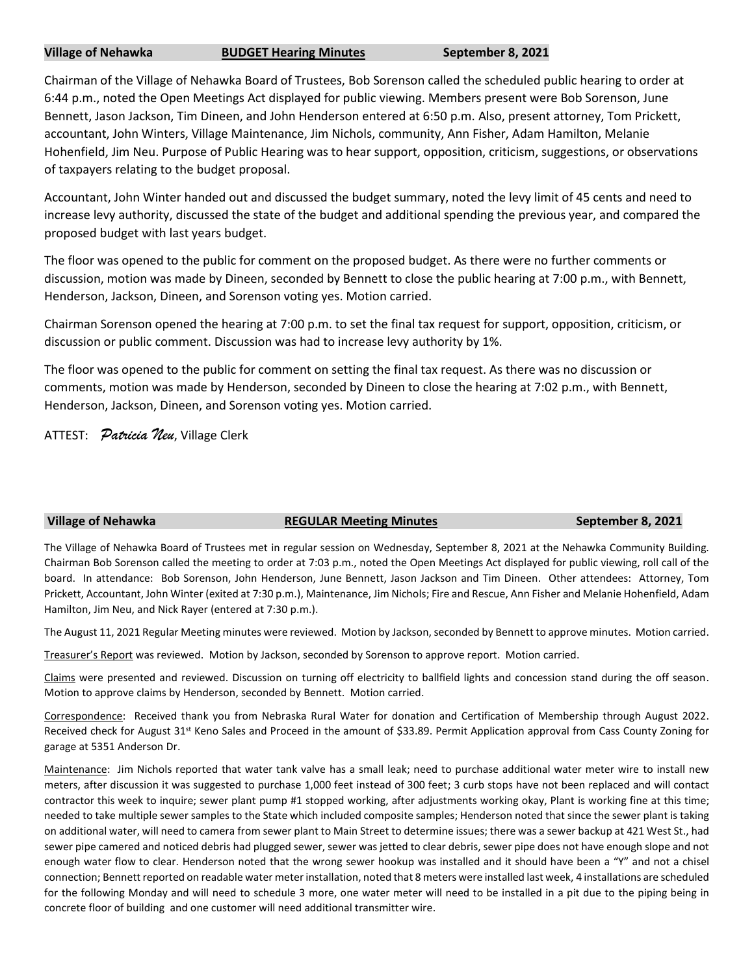# **Village of Nehawka BUDGET Hearing Minutes September 8, 2021**

Chairman of the Village of Nehawka Board of Trustees, Bob Sorenson called the scheduled public hearing to order at 6:44 p.m., noted the Open Meetings Act displayed for public viewing. Members present were Bob Sorenson, June Bennett, Jason Jackson, Tim Dineen, and John Henderson entered at 6:50 p.m. Also, present attorney, Tom Prickett, accountant, John Winters, Village Maintenance, Jim Nichols, community, Ann Fisher, Adam Hamilton, Melanie Hohenfield, Jim Neu. Purpose of Public Hearing was to hear support, opposition, criticism, suggestions, or observations of taxpayers relating to the budget proposal.

Accountant, John Winter handed out and discussed the budget summary, noted the levy limit of 45 cents and need to increase levy authority, discussed the state of the budget and additional spending the previous year, and compared the proposed budget with last years budget.

The floor was opened to the public for comment on the proposed budget. As there were no further comments or discussion, motion was made by Dineen, seconded by Bennett to close the public hearing at 7:00 p.m., with Bennett, Henderson, Jackson, Dineen, and Sorenson voting yes. Motion carried.

Chairman Sorenson opened the hearing at 7:00 p.m. to set the final tax request for support, opposition, criticism, or discussion or public comment. Discussion was had to increase levy authority by 1%.

The floor was opened to the public for comment on setting the final tax request. As there was no discussion or comments, motion was made by Henderson, seconded by Dineen to close the hearing at 7:02 p.m., with Bennett, Henderson, Jackson, Dineen, and Sorenson voting yes. Motion carried.

ATTEST: *Patricia Neu*, Village Clerk

# **Village of Nehawka REGULAR Meeting Minutes September 8, 2021**

The Village of Nehawka Board of Trustees met in regular session on Wednesday, September 8, 2021 at the Nehawka Community Building. Chairman Bob Sorenson called the meeting to order at 7:03 p.m., noted the Open Meetings Act displayed for public viewing, roll call of the board. In attendance: Bob Sorenson, John Henderson, June Bennett, Jason Jackson and Tim Dineen. Other attendees: Attorney, Tom Prickett, Accountant, John Winter (exited at 7:30 p.m.), Maintenance, Jim Nichols; Fire and Rescue, Ann Fisher and Melanie Hohenfield, Adam Hamilton, Jim Neu, and Nick Rayer (entered at 7:30 p.m.).

The August 11, 2021 Regular Meeting minutes were reviewed. Motion by Jackson, seconded by Bennett to approve minutes. Motion carried.

Treasurer's Report was reviewed. Motion by Jackson, seconded by Sorenson to approve report. Motion carried.

Claims were presented and reviewed. Discussion on turning off electricity to ballfield lights and concession stand during the off season. Motion to approve claims by Henderson, seconded by Bennett. Motion carried.

Correspondence: Received thank you from Nebraska Rural Water for donation and Certification of Membership through August 2022. Received check for August 31<sup>st</sup> Keno Sales and Proceed in the amount of \$33.89. Permit Application approval from Cass County Zoning for garage at 5351 Anderson Dr.

Maintenance: Jim Nichols reported that water tank valve has a small leak; need to purchase additional water meter wire to install new meters, after discussion it was suggested to purchase 1,000 feet instead of 300 feet; 3 curb stops have not been replaced and will contact contractor this week to inquire; sewer plant pump #1 stopped working, after adjustments working okay, Plant is working fine at this time; needed to take multiple sewer samples to the State which included composite samples; Henderson noted that since the sewer plant is taking on additional water, will need to camera from sewer plant to Main Street to determine issues; there was a sewer backup at 421 West St., had sewer pipe camered and noticed debris had plugged sewer, sewer was jetted to clear debris, sewer pipe does not have enough slope and not enough water flow to clear. Henderson noted that the wrong sewer hookup was installed and it should have been a "Y" and not a chisel connection; Bennett reported on readable water meter installation, noted that 8 meters were installed last week, 4 installations are scheduled for the following Monday and will need to schedule 3 more, one water meter will need to be installed in a pit due to the piping being in concrete floor of building and one customer will need additional transmitter wire.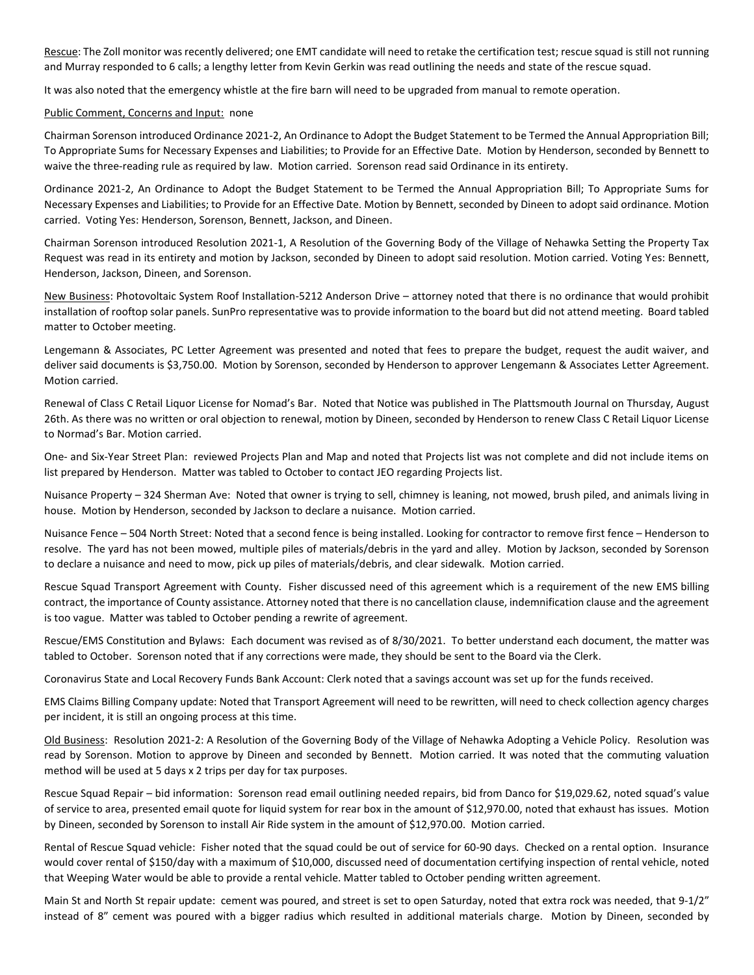Rescue: The Zoll monitor was recently delivered; one EMT candidate will need to retake the certification test; rescue squad is still not running and Murray responded to 6 calls; a lengthy letter from Kevin Gerkin was read outlining the needs and state of the rescue squad.

It was also noted that the emergency whistle at the fire barn will need to be upgraded from manual to remote operation.

## Public Comment, Concerns and Input: none

Chairman Sorenson introduced Ordinance 2021-2, An Ordinance to Adopt the Budget Statement to be Termed the Annual Appropriation Bill; To Appropriate Sums for Necessary Expenses and Liabilities; to Provide for an Effective Date. Motion by Henderson, seconded by Bennett to waive the three-reading rule as required by law. Motion carried. Sorenson read said Ordinance in its entirety.

Ordinance 2021-2, An Ordinance to Adopt the Budget Statement to be Termed the Annual Appropriation Bill; To Appropriate Sums for Necessary Expenses and Liabilities; to Provide for an Effective Date. Motion by Bennett, seconded by Dineen to adopt said ordinance. Motion carried. Voting Yes: Henderson, Sorenson, Bennett, Jackson, and Dineen.

Chairman Sorenson introduced Resolution 2021-1, A Resolution of the Governing Body of the Village of Nehawka Setting the Property Tax Request was read in its entirety and motion by Jackson, seconded by Dineen to adopt said resolution. Motion carried. Voting Yes: Bennett, Henderson, Jackson, Dineen, and Sorenson.

New Business: Photovoltaic System Roof Installation-5212 Anderson Drive – attorney noted that there is no ordinance that would prohibit installation of rooftop solar panels. SunPro representative was to provide information to the board but did not attend meeting. Board tabled matter to October meeting.

Lengemann & Associates, PC Letter Agreement was presented and noted that fees to prepare the budget, request the audit waiver, and deliver said documents is \$3,750.00. Motion by Sorenson, seconded by Henderson to approver Lengemann & Associates Letter Agreement. Motion carried.

Renewal of Class C Retail Liquor License for Nomad's Bar. Noted that Notice was published in The Plattsmouth Journal on Thursday, August 26th. As there was no written or oral objection to renewal, motion by Dineen, seconded by Henderson to renew Class C Retail Liquor License to Normad's Bar. Motion carried.

One- and Six-Year Street Plan: reviewed Projects Plan and Map and noted that Projects list was not complete and did not include items on list prepared by Henderson. Matter was tabled to October to contact JEO regarding Projects list.

Nuisance Property – 324 Sherman Ave: Noted that owner is trying to sell, chimney is leaning, not mowed, brush piled, and animals living in house. Motion by Henderson, seconded by Jackson to declare a nuisance. Motion carried.

Nuisance Fence – 504 North Street: Noted that a second fence is being installed. Looking for contractor to remove first fence – Henderson to resolve. The yard has not been mowed, multiple piles of materials/debris in the yard and alley. Motion by Jackson, seconded by Sorenson to declare a nuisance and need to mow, pick up piles of materials/debris, and clear sidewalk. Motion carried.

Rescue Squad Transport Agreement with County. Fisher discussed need of this agreement which is a requirement of the new EMS billing contract, the importance of County assistance. Attorney noted that there is no cancellation clause, indemnification clause and the agreement is too vague. Matter was tabled to October pending a rewrite of agreement.

Rescue/EMS Constitution and Bylaws: Each document was revised as of 8/30/2021. To better understand each document, the matter was tabled to October. Sorenson noted that if any corrections were made, they should be sent to the Board via the Clerk.

Coronavirus State and Local Recovery Funds Bank Account: Clerk noted that a savings account was set up for the funds received.

EMS Claims Billing Company update: Noted that Transport Agreement will need to be rewritten, will need to check collection agency charges per incident, it is still an ongoing process at this time.

Old Business: Resolution 2021-2: A Resolution of the Governing Body of the Village of Nehawka Adopting a Vehicle Policy. Resolution was read by Sorenson. Motion to approve by Dineen and seconded by Bennett. Motion carried. It was noted that the commuting valuation method will be used at 5 days x 2 trips per day for tax purposes.

Rescue Squad Repair – bid information: Sorenson read email outlining needed repairs, bid from Danco for \$19,029.62, noted squad's value of service to area, presented email quote for liquid system for rear box in the amount of \$12,970.00, noted that exhaust has issues. Motion by Dineen, seconded by Sorenson to install Air Ride system in the amount of \$12,970.00. Motion carried.

Rental of Rescue Squad vehicle: Fisher noted that the squad could be out of service for 60-90 days. Checked on a rental option. Insurance would cover rental of \$150/day with a maximum of \$10,000, discussed need of documentation certifying inspection of rental vehicle, noted that Weeping Water would be able to provide a rental vehicle. Matter tabled to October pending written agreement.

Main St and North St repair update: cement was poured, and street is set to open Saturday, noted that extra rock was needed, that 9-1/2" instead of 8" cement was poured with a bigger radius which resulted in additional materials charge. Motion by Dineen, seconded by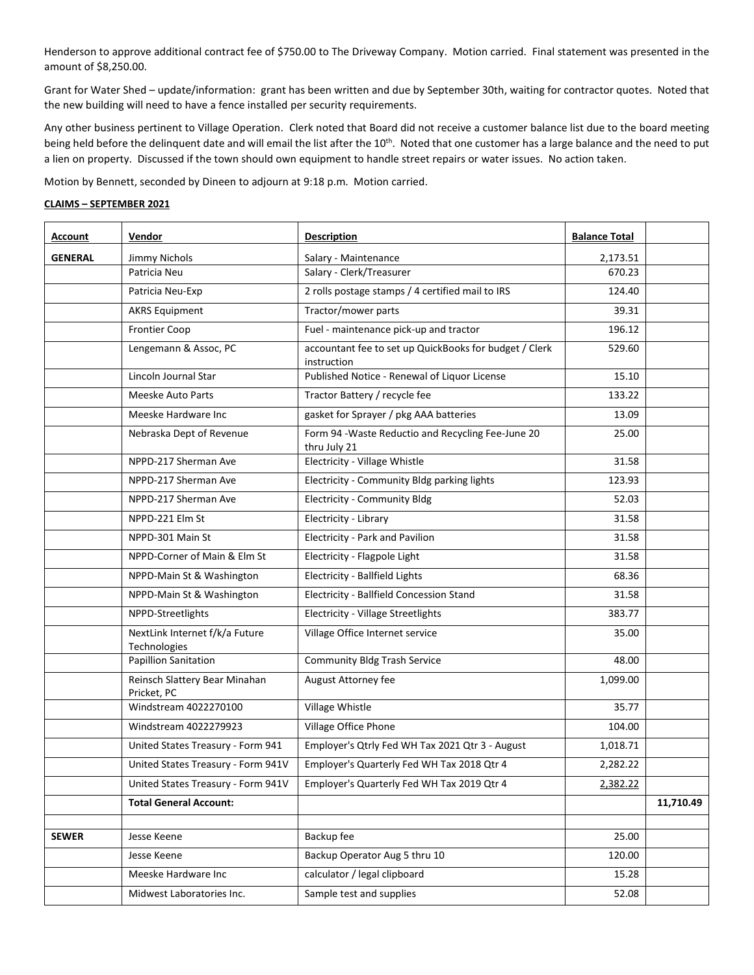Henderson to approve additional contract fee of \$750.00 to The Driveway Company. Motion carried. Final statement was presented in the amount of \$8,250.00.

Grant for Water Shed – update/information: grant has been written and due by September 30th, waiting for contractor quotes. Noted that the new building will need to have a fence installed per security requirements.

Any other business pertinent to Village Operation. Clerk noted that Board did not receive a customer balance list due to the board meeting being held before the delinquent date and will email the list after the 10<sup>th</sup>. Noted that one customer has a large balance and the need to put a lien on property. Discussed if the town should own equipment to handle street repairs or water issues. No action taken.

Motion by Bennett, seconded by Dineen to adjourn at 9:18 p.m. Motion carried.

## **CLAIMS – SEPTEMBER 2021**

| <b>Account</b> | Vendor                                         | <b>Description</b>                                                    | <b>Balance Total</b> |           |
|----------------|------------------------------------------------|-----------------------------------------------------------------------|----------------------|-----------|
| <b>GENERAL</b> | Jimmy Nichols                                  | Salary - Maintenance                                                  | 2,173.51             |           |
|                | Patricia Neu                                   | Salary - Clerk/Treasurer                                              | 670.23               |           |
|                | Patricia Neu-Exp                               | 2 rolls postage stamps / 4 certified mail to IRS                      | 124.40               |           |
|                | <b>AKRS Equipment</b>                          | Tractor/mower parts                                                   | 39.31                |           |
|                | <b>Frontier Coop</b>                           | Fuel - maintenance pick-up and tractor                                | 196.12               |           |
|                | Lengemann & Assoc, PC                          | accountant fee to set up QuickBooks for budget / Clerk<br>instruction | 529.60               |           |
|                | Lincoln Journal Star                           | Published Notice - Renewal of Liquor License                          | 15.10                |           |
|                | <b>Meeske Auto Parts</b>                       | Tractor Battery / recycle fee                                         | 133.22               |           |
|                | Meeske Hardware Inc                            | gasket for Sprayer / pkg AAA batteries                                | 13.09                |           |
|                | Nebraska Dept of Revenue                       | Form 94 - Waste Reductio and Recycling Fee-June 20<br>thru July 21    | 25.00                |           |
|                | NPPD-217 Sherman Ave                           | Electricity - Village Whistle                                         | 31.58                |           |
|                | NPPD-217 Sherman Ave                           | Electricity - Community Bldg parking lights                           | 123.93               |           |
|                | NPPD-217 Sherman Ave                           | <b>Electricity - Community Bldg</b>                                   | 52.03                |           |
|                | NPPD-221 Elm St                                | Electricity - Library                                                 | 31.58                |           |
|                | NPPD-301 Main St                               | <b>Electricity - Park and Pavilion</b>                                | 31.58                |           |
|                | NPPD-Corner of Main & Elm St                   | Electricity - Flagpole Light                                          | 31.58                |           |
|                | NPPD-Main St & Washington                      | Electricity - Ballfield Lights                                        | 68.36                |           |
|                | NPPD-Main St & Washington                      | Electricity - Ballfield Concession Stand                              | 31.58                |           |
|                | NPPD-Streetlights                              | Electricity - Village Streetlights                                    | 383.77               |           |
|                | NextLink Internet f/k/a Future<br>Technologies | Village Office Internet service                                       | 35.00                |           |
|                | <b>Papillion Sanitation</b>                    | <b>Community Bldg Trash Service</b>                                   | 48.00                |           |
|                | Reinsch Slattery Bear Minahan<br>Pricket, PC   | August Attorney fee                                                   | 1,099.00             |           |
|                | Windstream 4022270100                          | Village Whistle                                                       | 35.77                |           |
|                | Windstream 4022279923                          | Village Office Phone                                                  | 104.00               |           |
|                | United States Treasury - Form 941              | Employer's Qtrly Fed WH Tax 2021 Qtr 3 - August                       | 1,018.71             |           |
|                | United States Treasury - Form 941V             | Employer's Quarterly Fed WH Tax 2018 Qtr 4                            | 2,282.22             |           |
|                | United States Treasury - Form 941V             | Employer's Quarterly Fed WH Tax 2019 Qtr 4                            | 2,382.22             |           |
|                | <b>Total General Account:</b>                  |                                                                       |                      | 11,710.49 |
|                |                                                |                                                                       |                      |           |
| <b>SEWER</b>   | Jesse Keene                                    | Backup fee                                                            | 25.00                |           |
|                | Jesse Keene                                    | Backup Operator Aug 5 thru 10                                         | 120.00               |           |
|                | Meeske Hardware Inc                            | calculator / legal clipboard                                          | 15.28                |           |
|                | Midwest Laboratories Inc.                      | Sample test and supplies                                              | 52.08                |           |